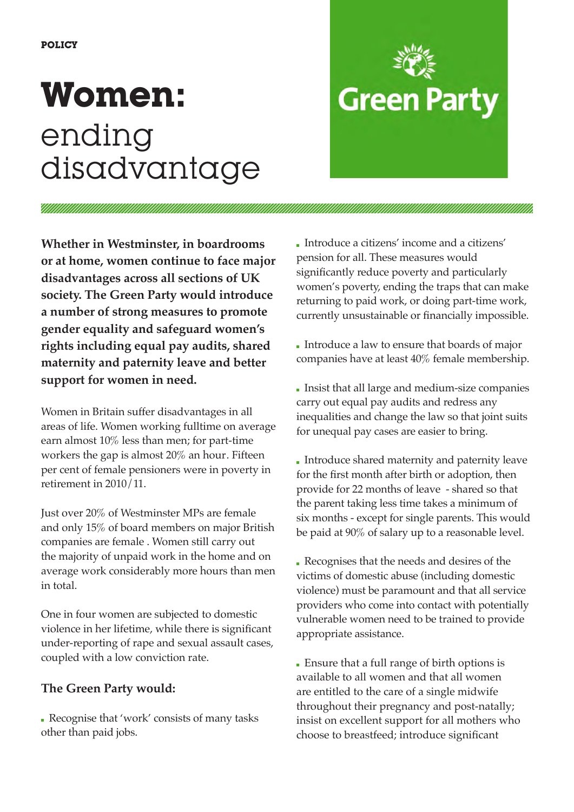# **Women:**  ending disadvantage

<u>Viitiinininininininininininin</u>

## Introduce a citizens' income and a citizens' pension for all. These measures would significantly reduce poverty and particularly women's poverty, ending the traps that can make returning to paid work, or doing part-time work,

**Green Party** 

**Whether in Westminster, in boardrooms or at home, women continue to face major disadvantages across all sections of UK society. The Green Party would introduce a number of strong measures to promote gender equality and safeguard women's rights including equal pay audits, shared maternity and paternity leave and better support for women in need.**

Women in Britain suffer disadvantages in all areas of life. Women working fulltime on average earn almost 10% less than men; for part-time workers the gap is almost 20% an hour. Fifteen per cent of female pensioners were in poverty in retirement in 2010/11.

Just over 20% of Westminster MPs are female and only 15% of board members on major British companies are female . Women still carry out the majority of unpaid work in the home and on average work considerably more hours than men in total.

One in four women are subjected to domestic violence in her lifetime, while there is significant under-reporting of rape and sexual assault cases, coupled with a low conviction rate.

### **The Green Party would:**

 Recognise that 'work' consists of many tasks other than paid jobs.

 Introduce a law to ensure that boards of major companies have at least 40% female membership.

currently unsustainable or financially impossible.

 Insist that all large and medium-size companies carry out equal pay audits and redress any inequalities and change the law so that joint suits for unequal pay cases are easier to bring.

 Introduce shared maternity and paternity leave for the first month after birth or adoption, then provide for 22 months of leave - shared so that the parent taking less time takes a minimum of six months - except for single parents. This would be paid at 90% of salary up to a reasonable level.

 Recognises that the needs and desires of the victims of domestic abuse (including domestic violence) must be paramount and that all service providers who come into contact with potentially vulnerable women need to be trained to provide appropriate assistance.

 Ensure that a full range of birth options is available to all women and that all women are entitled to the care of a single midwife throughout their pregnancy and post-natally; insist on excellent support for all mothers who choose to breastfeed; introduce significant